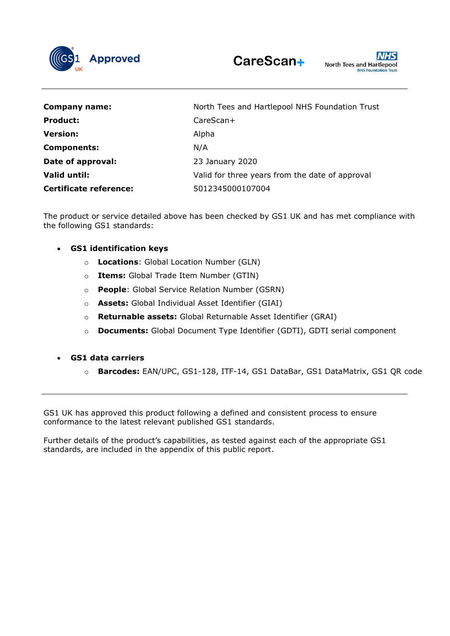

| <b>Company name:</b>          | North Tees and Hartlepool NHS Foundation Trust  |
|-------------------------------|-------------------------------------------------|
| <b>Product:</b>               | $CareScan+$                                     |
| <b>Version:</b>               | Alpha                                           |
| <b>Components:</b>            | N/A                                             |
| Date of approval:             | 23 January 2020                                 |
| Valid until:                  | Valid for three years from the date of approval |
| <b>Certificate reference:</b> | 5012345000107004                                |

The product or service detailed above has been checked by GS1 UK and has met compliance with the following GS1 standards:

- **GS1 identification keys**
	- o **Locations**: Global Location Number (GLN)
	- o **Items:** Global Trade Item Number (GTIN)
	- o **People**: Global Service Relation Number (GSRN)
	- o **Assets:** Global Individual Asset Identifier (GIAI)
	- o **Returnable assets:** Global Returnable Asset Identifier (GRAI)
	- o **Documents:** Global Document Type Identifier (GDTI), GDTI serial component
- **GS1 data carriers**
	- o **Barcodes:** EAN/UPC, GS1-128, ITF-14, GS1 DataBar, GS1 DataMatrix, GS1 QR code

GS1 UK has approved this product following a defined and consistent process to ensure conformance to the latest relevant published GS1 standards.

Further details of the product's capabilities, as tested against each of the appropriate GS1 standards, are included in the appendix of this public report.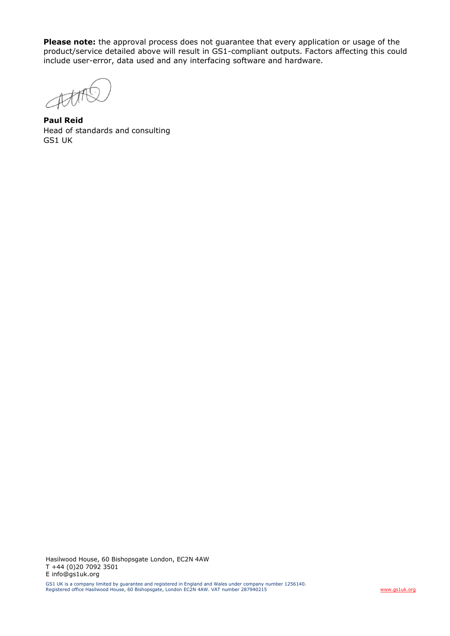**Please note:** the approval process does not guarantee that every application or usage of the product/service detailed above will result in GS1-compliant outputs. Factors affecting this could include user-error, data used and any interfacing software and hardware.

Att

**Paul Reid** Head of standards and consulting GS1 UK